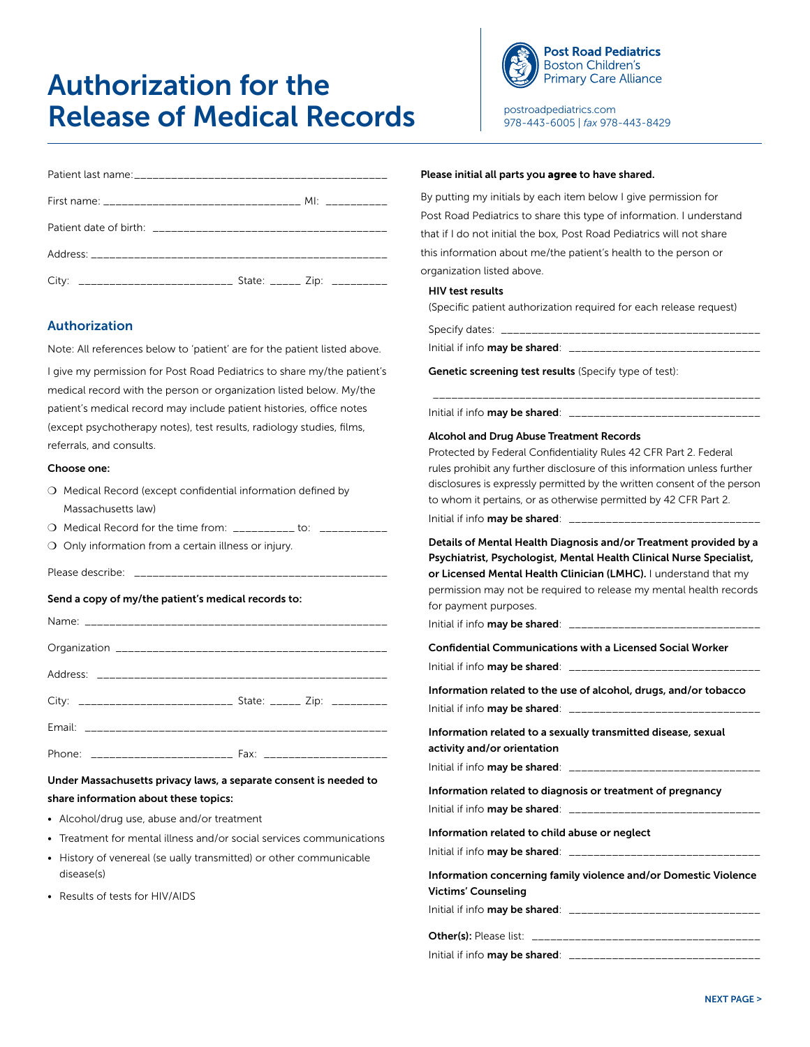# Authorization for the Release of Medical Records



postroadpediatrics.com 978-443-6005 | *fax* 978-443-8429

# Authorization

Note: All references below to 'patient' are for the patient listed above.

I give my permission for Post Road Pediatrics to share my/the patient's medical record with the person or organization listed below. My/the patient's medical record may include patient histories, office notes (except psychotherapy notes), test results, radiology studies, films, referrals, and consults.

#### Choose one:

| $\bigcirc$ Medical Record (except confidential information defined by |
|-----------------------------------------------------------------------|
| Massachusetts law)                                                    |

|  |  |  |  | $\bigcirc$ Medical Record for the time from: | $\frac{1}{1}$ to: |  |
|--|--|--|--|----------------------------------------------|-------------------|--|
|--|--|--|--|----------------------------------------------|-------------------|--|

- $O$  Only information from a certain illness or injury.
- Please describe:  $\Box$

#### Send a copy of my/the patient's medical records to:

| City: _______________________________ State: ______ Zip: __________ |  |
|---------------------------------------------------------------------|--|
|                                                                     |  |
|                                                                     |  |

Under Massachusetts privacy laws, a separate consent is needed to share information about these topics:

- Alcohol/drug use, abuse and/or treatment
- Treatment for mental illness and/or social services communications
- History of venereal (se ually transmitted) or other communicable disease(s)
- Results of tests for HIV/AIDS

#### Please initial all parts you agree to have shared.

By putting my initials by each item below I give permission for Post Road Pediatrics to share this type of information. I understand that if I do not initial the box, Post Road Pediatrics will not share this information about me/the patient's health to the person or organization listed above.

#### HIV test results

(Specific patient authorization required for each release request)

Specify dates: \_

Initial if info may be shared: \_\_\_\_\_\_

Initial if info **may be shared**:  $\Box$ 

Genetic screening test results (Specify type of test):

# Alcohol and Drug Abuse Treatment Records

Protected by Federal Confidentiality Rules 42 CFR Part 2. Federal rules prohibit any further disclosure of this information unless further disclosures is expressly permitted by the written consent of the person to whom it pertains, or as otherwise permitted by 42 CFR Part 2. Initial if info may be shared:

\_\_\_\_\_\_\_\_\_\_\_\_\_\_\_\_\_\_\_\_\_\_\_\_\_\_\_\_\_\_\_\_\_\_\_\_\_\_\_\_\_\_\_\_\_\_\_\_\_\_\_\_\_

Details of Mental Health Diagnosis and/or Treatment provided by a Psychiatrist, Psychologist, Mental Health Clinical Nurse Specialist, or Licensed Mental Health Clinician (LMHC). I understand that my permission may not be required to release my mental health records for payment purposes.

Initial if info **may be shared**:  $\frac{1}{2}$ 

|                                        | Confidential Communications with a Licensed Social Worker |
|----------------------------------------|-----------------------------------------------------------|
| Initial if info <b>may be shared</b> : |                                                           |

|                                | Information related to the use of alcohol, drugs, and/or tobacco |
|--------------------------------|------------------------------------------------------------------|
| Initial if info may be shared: |                                                                  |

| Information related to a sexually transmitted disease, sexual<br>activity and/or orientation |
|----------------------------------------------------------------------------------------------|
| Initial if info <b>may be shared</b> : ________________                                      |
| Information related to diagnosis or treatment of pregnancy                                   |
| Initial if info <b>may be shared</b> : ____________                                          |

Information related to child abuse or neglect

| Initial if info may be shared: |                                                                 |
|--------------------------------|-----------------------------------------------------------------|
|                                | Information concerning family violence and/or Domestic Violence |

Victims' Counseling

Initial if info may be shared: \_\_\_\_\_\_\_\_\_\_\_\_\_\_\_\_\_\_\_\_\_\_\_\_\_\_\_\_\_\_\_

| <b>Other(s):</b> Please list:  |  |
|--------------------------------|--|
| Initial if info may be shared: |  |